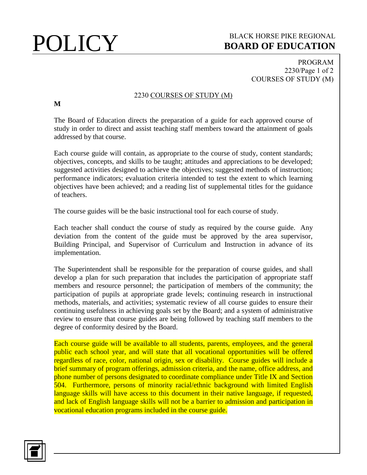## **POLICY** BLACK HORSE PIKE REGIONAL **BOARD OF EDUCATION BOARD OF EDUCATION**

PROGRAM 2230/Page 1 of 2 COURSES OF STUDY (M)

## 2230 COURSES OF STUDY (M)

**M**

The Board of Education directs the preparation of a guide for each approved course of study in order to direct and assist teaching staff members toward the attainment of goals addressed by that course.

Each course guide will contain, as appropriate to the course of study, content standards; objectives, concepts, and skills to be taught; attitudes and appreciations to be developed; suggested activities designed to achieve the objectives; suggested methods of instruction; performance indicators; evaluation criteria intended to test the extent to which learning objectives have been achieved; and a reading list of supplemental titles for the guidance of teachers.

The course guides will be the basic instructional tool for each course of study.

Each teacher shall conduct the course of study as required by the course guide. Any deviation from the content of the guide must be approved by the area supervisor, Building Principal, and Supervisor of Curriculum and Instruction in advance of its implementation.

The Superintendent shall be responsible for the preparation of course guides, and shall develop a plan for such preparation that includes the participation of appropriate staff members and resource personnel; the participation of members of the community; the participation of pupils at appropriate grade levels; continuing research in instructional methods, materials, and activities; systematic review of all course guides to ensure their continuing usefulness in achieving goals set by the Board; and a system of administrative review to ensure that course guides are being followed by teaching staff members to the degree of conformity desired by the Board.

Each course guide will be available to all students, parents, employees, and the general public each school year, and will state that all vocational opportunities will be offered regardless of race, color, national origin, sex or disability. Course guides will include a brief summary of program offerings, admission criteria, and the name, office address, and phone number of persons designated to coordinate compliance under Title IX and Section 504. Furthermore, persons of minority racial/ethnic background with limited English language skills will have access to this document in their native language, if requested, and lack of English language skills will not be a barrier to admission and participation in vocational education programs included in the course guide.